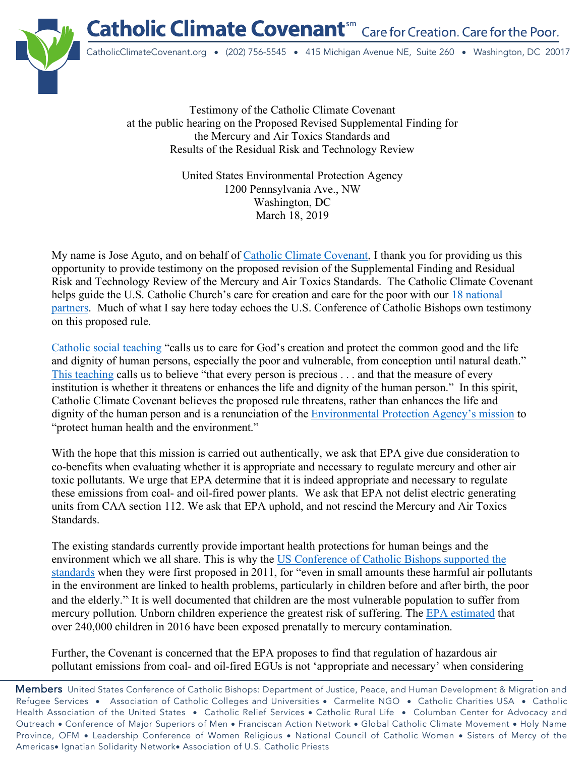**Catholic Climate Covenant**<sup>sm</sup> Care for Creation. Care for the Poor.



CatholicClimateCovenant.org • (202) 756-5545 • 415 Michigan Avenue NE, Suite 260 • Washington, DC 20017

Testimony of the Catholic Climate Covenant at the public hearing on the Proposed Revised Supplemental Finding for the Mercury and Air Toxics Standards and Results of the Residual Risk and Technology Review

> United States Environmental Protection Agency 1200 Pennsylvania Ave., NW Washington, DC March 18, 2019

My name is Jose Aguto, and on behalf of Catholic Climate Covenant, I thank you for providing us this opportunity to provide testimony on the proposed revision of the Supplemental Finding and Residual Risk and Technology Review of the Mercury and Air Toxics Standards. The Catholic Climate Covenant helps guide the U.S. Catholic Church's care for creation and care for the poor with our 18 national partners. Much of what I say here today echoes the U.S. Conference of Catholic Bishops own testimony on this proposed rule.

Catholic social teaching "calls us to care for God's creation and protect the common good and the life and dignity of human persons, especially the poor and vulnerable, from conception until natural death." This teaching calls us to believe "that every person is precious . . . and that the measure of every institution is whether it threatens or enhances the life and dignity of the human person." In this spirit, Catholic Climate Covenant believes the proposed rule threatens, rather than enhances the life and dignity of the human person and is a renunciation of the Environmental Protection Agency's mission to "protect human health and the environment."

With the hope that this mission is carried out authentically, we ask that EPA give due consideration to co-benefits when evaluating whether it is appropriate and necessary to regulate mercury and other air toxic pollutants. We urge that EPA determine that it is indeed appropriate and necessary to regulate these emissions from coal- and oil-fired power plants. We ask that EPA not delist electric generating units from CAA section 112. We ask that EPA uphold, and not rescind the Mercury and Air Toxics **Standards** 

The existing standards currently provide important health protections for human beings and the environment which we all share. This is why the US Conference of Catholic Bishops supported the standards when they were first proposed in 2011, for "even in small amounts these harmful air pollutants in the environment are linked to health problems, particularly in children before and after birth, the poor and the elderly.". It is well documented that children are the most vulnerable population to suffer from mercury pollution. Unborn children experience the greatest risk of suffering. The EPA estimated that over 240,000 children in 2016 have been exposed prenatally to mercury contamination.

Further, the Covenant is concerned that the EPA proposes to find that regulation of hazardous air pollutant emissions from coal- and oil-fired EGUs is not 'appropriate and necessary' when considering

Members United States Conference of Catholic Bishops: Department of Justice, Peace, and Human Development & Migration and Refugee Services • Association of Catholic Colleges and Universities • Carmelite NGO • Catholic Charities USA • Catholic Health Association of the United States • Catholic Relief Services • Catholic Rural Life • Columban Center for Advocacy and Outreach • Conference of Major Superiors of Men • Franciscan Action Network • Global Catholic Climate Movement • Holy Name Province, OFM • Leadership Conference of Women Religious • National Council of Catholic Women • Sisters of Mercy of the Americas• Ignatian Solidarity Network• Association of U.S. Catholic Priests